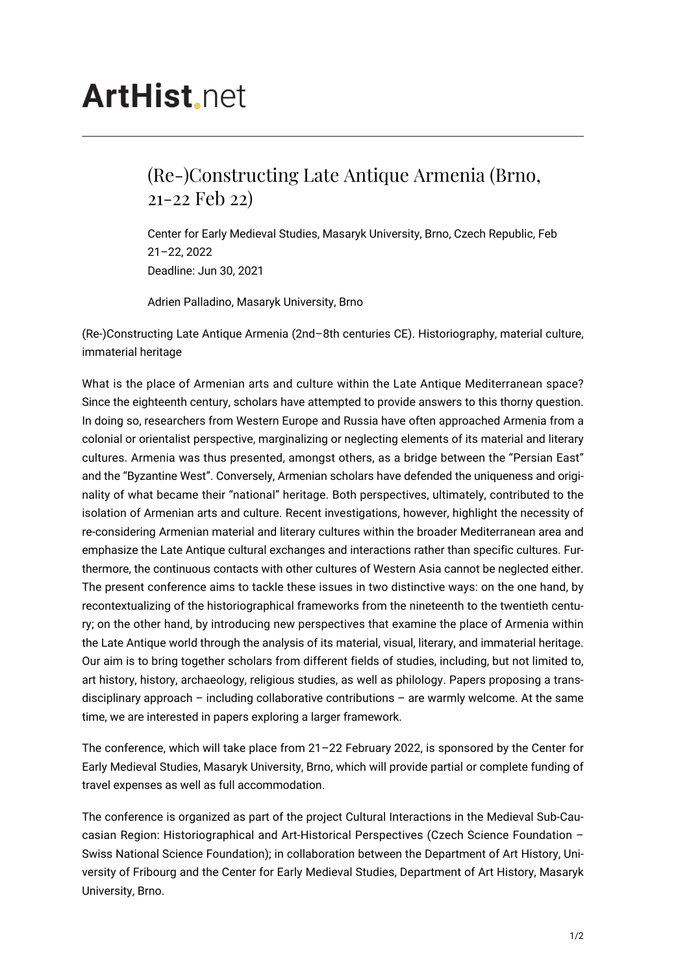## **ArtHist**, net

## (Re-)Constructing Late Antique Armenia (Brno, 21-22 Feb 22)

Center for Early Medieval Studies, Masaryk University, Brno, Czech Republic, Feb 21–22, 2022 Deadline: Jun 30, 2021

Adrien Palladino, Masaryk University, Brno

(Re-)Constructing Late Antique Armenia (2nd–8th centuries CE). Historiography, material culture, immaterial heritage

What is the place of Armenian arts and culture within the Late Antique Mediterranean space? Since the eighteenth century, scholars have attempted to provide answers to this thorny question. In doing so, researchers from Western Europe and Russia have often approached Armenia from a colonial or orientalist perspective, marginalizing or neglecting elements of its material and literary cultures. Armenia was thus presented, amongst others, as a bridge between the "Persian East" and the "Byzantine West". Conversely, Armenian scholars have defended the uniqueness and originality of what became their "national" heritage. Both perspectives, ultimately, contributed to the isolation of Armenian arts and culture. Recent investigations, however, highlight the necessity of re-considering Armenian material and literary cultures within the broader Mediterranean area and emphasize the Late Antique cultural exchanges and interactions rather than specific cultures. Furthermore, the continuous contacts with other cultures of Western Asia cannot be neglected either. The present conference aims to tackle these issues in two distinctive ways: on the one hand, by recontextualizing of the historiographical frameworks from the nineteenth to the twentieth century; on the other hand, by introducing new perspectives that examine the place of Armenia within the Late Antique world through the analysis of its material, visual, literary, and immaterial heritage. Our aim is to bring together scholars from different fields of studies, including, but not limited to, art history, history, archaeology, religious studies, as well as philology. Papers proposing a transdisciplinary approach – including collaborative contributions – are warmly welcome. At the same time, we are interested in papers exploring a larger framework.

The conference, which will take place from 21–22 February 2022, is sponsored by the Center for Early Medieval Studies, Masaryk University, Brno, which will provide partial or complete funding of travel expenses as well as full accommodation.

The conference is organized as part of the project Cultural Interactions in the Medieval Sub-Caucasian Region: Historiographical and Art-Historical Perspectives (Czech Science Foundation – Swiss National Science Foundation); in collaboration between the Department of Art History, University of Fribourg and the Center for Early Medieval Studies, Department of Art History, Masaryk University, Brno.